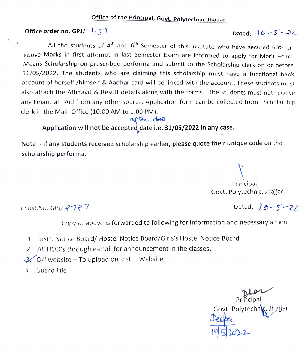# Office of the Principal, Govt. Polytechnic Jhajjar.

### Office order no. GPJ/  $431$ n Dated:  $10-5-22$

All the students of  $4^{\text{th}}$  and  $6^{\text{th}}$  Semester of this institute who have secured 60% or above Marks in first attempt in last Semester Exam are informed to apply for Merit -cum Means Scholarship on prescribed performa and submit to the Scholarship clerk on or before 31/05/2022. The students who are claiming this scholarship must have a functional bank account of herself /himself & Aadhar card will be linked with the account. These students must also attach the Affidavit & Result details along with the forms. The students must not receive any Financial -Aid from any other source. Application form can be collected from Scholarship clerk in the Main Office (10:00 AM to 1:00 PM).

### aflèr due

## Application will not be accepted date i.e. 31/05/2022 in any case.

Note: - If any students received scholarship earlier, please quote their unique code on the scholarship performa.

Principal, Govt. Polytechnic, jhajjar.

Endst.No. GPJ/  $2727$ 

Copy of above is forwarded to following for information and necessary action.

- 1. Instt. Notice Board/ Hostel Notice Board/Girls's Hostel Notice Board
- 2. All HOD's through e-mail for announcement in the classes.
- $3.$  O/I website To upload on Instt. Website.
- 4. Guard File.

Principal, Govt. Polytechnic, Jhajjar.<br>N Deepe